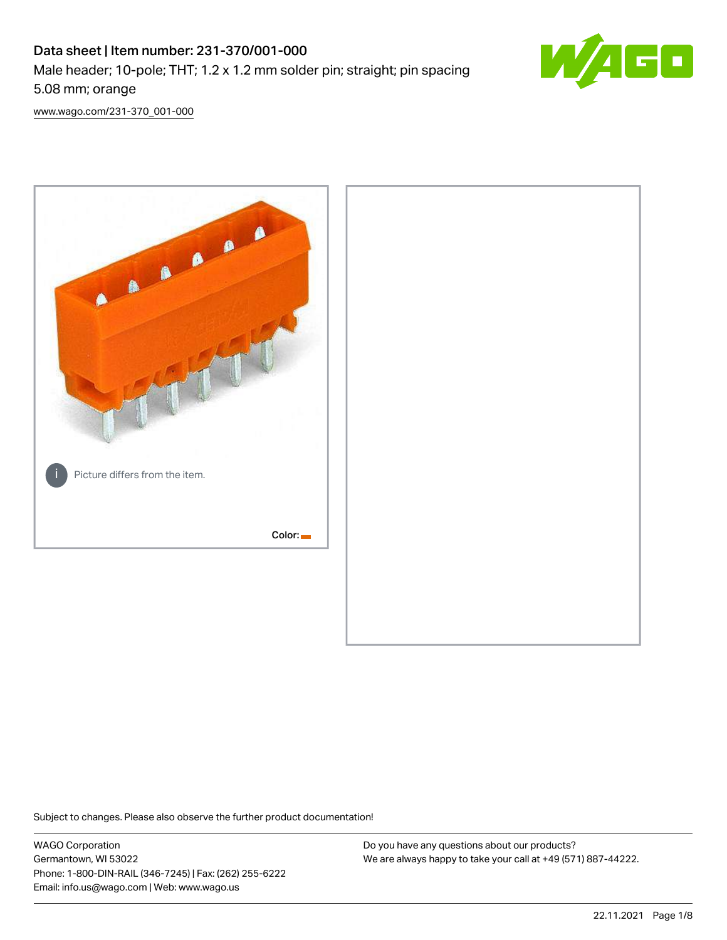# Data sheet | Item number: 231-370/001-000 Male header; 10-pole; THT; 1.2 x 1.2 mm solder pin; straight; pin spacing 5.08 mm; orange



[www.wago.com/231-370\\_001-000](http://www.wago.com/231-370_001-000)



Subject to changes. Please also observe the further product documentation!

WAGO Corporation Germantown, WI 53022 Phone: 1-800-DIN-RAIL (346-7245) | Fax: (262) 255-6222 Email: info.us@wago.com | Web: www.wago.us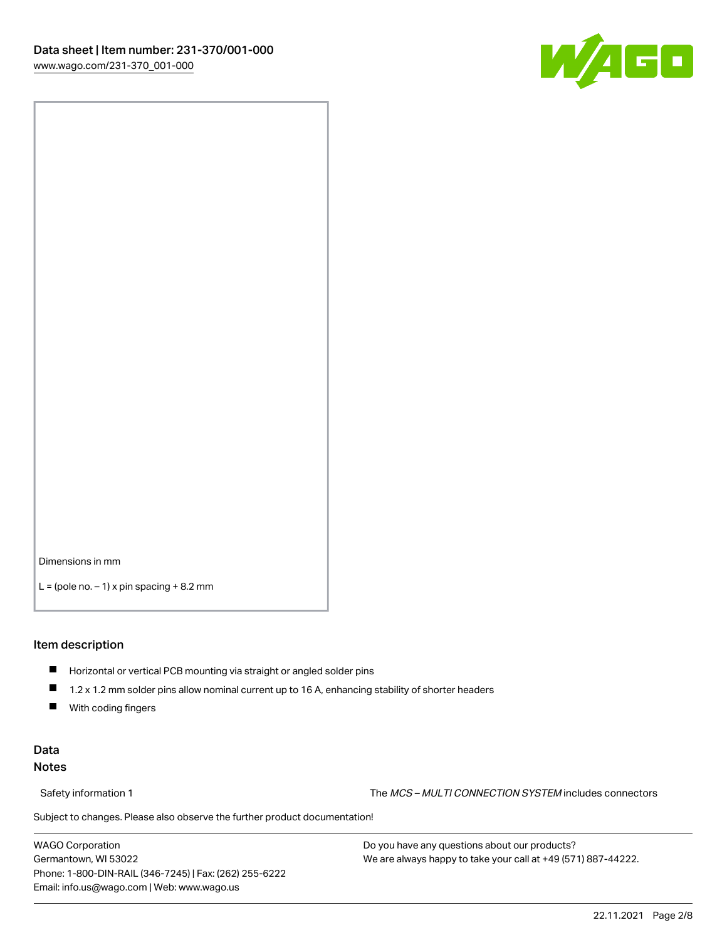

Dimensions in mm

 $L =$  (pole no.  $-1$ ) x pin spacing  $+8.2$  mm

#### Item description

- **Horizontal or vertical PCB mounting via straight or angled solder pins**
- 1.2 x 1.2 mm solder pins allow nominal current up to 16 A, enhancing stability of shorter headers
- $\blacksquare$ With coding fingers

### Data Notes

Safety information 1 The MCS – MULTI CONNECTION SYSTEM includes connectors

Subject to changes. Please also observe the further product documentation!  $\nu$ 

WAGO Corporation Germantown, WI 53022 Phone: 1-800-DIN-RAIL (346-7245) | Fax: (262) 255-6222 Email: info.us@wago.com | Web: www.wago.us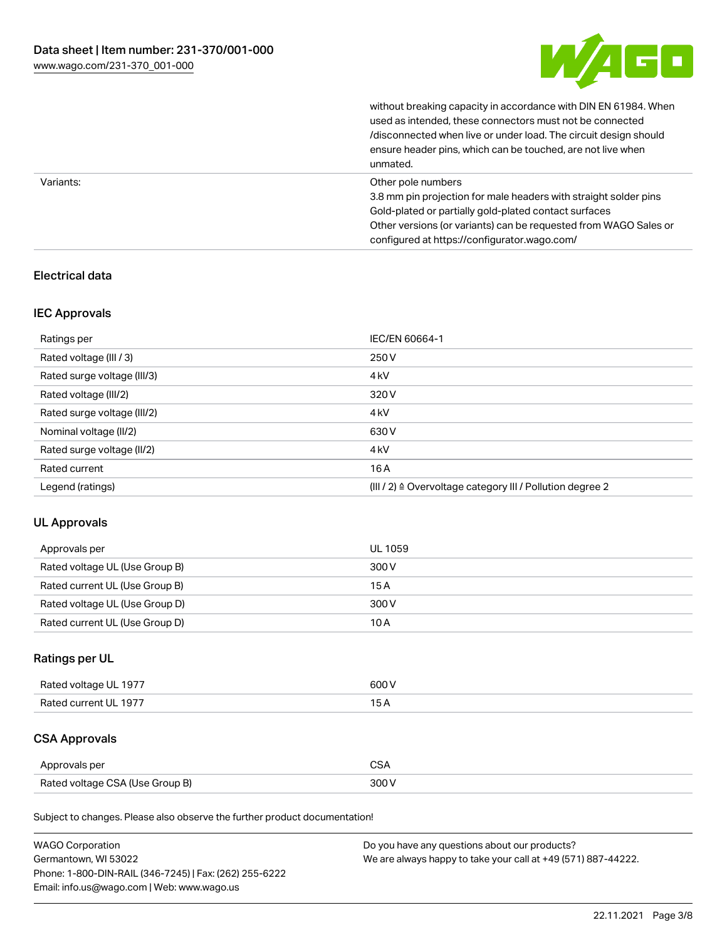

without breaking capacity in accordance with DIN EN 61984. When

|           | used as intended, these connectors must not be connected<br>/disconnected when live or under load. The circuit design should<br>ensure header pins, which can be touched, are not live when<br>unmated.                                                             |
|-----------|---------------------------------------------------------------------------------------------------------------------------------------------------------------------------------------------------------------------------------------------------------------------|
| Variants: | Other pole numbers<br>3.8 mm pin projection for male headers with straight solder pins<br>Gold-plated or partially gold-plated contact surfaces<br>Other versions (or variants) can be requested from WAGO Sales or<br>configured at https://configurator.wago.com/ |

## Electrical data

### IEC Approvals

| Ratings per                 | IEC/EN 60664-1                                            |
|-----------------------------|-----------------------------------------------------------|
| Rated voltage (III / 3)     | 250 V                                                     |
| Rated surge voltage (III/3) | 4 <sub>k</sub> V                                          |
| Rated voltage (III/2)       | 320 V                                                     |
| Rated surge voltage (III/2) | 4 <sub>k</sub> V                                          |
| Nominal voltage (II/2)      | 630 V                                                     |
| Rated surge voltage (II/2)  | 4 <sub>k</sub> V                                          |
| Rated current               | 16A                                                       |
| Legend (ratings)            | (III / 2) ≙ Overvoltage category III / Pollution degree 2 |

### UL Approvals

| Approvals per                  | UL 1059 |
|--------------------------------|---------|
| Rated voltage UL (Use Group B) | 300 V   |
| Rated current UL (Use Group B) | 15 A    |
| Rated voltage UL (Use Group D) | 300 V   |
| Rated current UL (Use Group D) | 10 A    |

## Ratings per UL

| Rated voltage UL 1977 | 600 V |
|-----------------------|-------|
| Rated current UL 1977 |       |

## CSA Approvals

| Approvals per                   | ~~    |
|---------------------------------|-------|
| Rated voltage CSA (Use Group B) | 3UU 1 |

Subject to changes. Please also observe the further product documentation!

| <b>WAGO Corporation</b>                                | Do you have any questions about our products?                 |
|--------------------------------------------------------|---------------------------------------------------------------|
| Germantown, WI 53022                                   | We are always happy to take your call at +49 (571) 887-44222. |
| Phone: 1-800-DIN-RAIL (346-7245)   Fax: (262) 255-6222 |                                                               |
| Email: info.us@wago.com   Web: www.wago.us             |                                                               |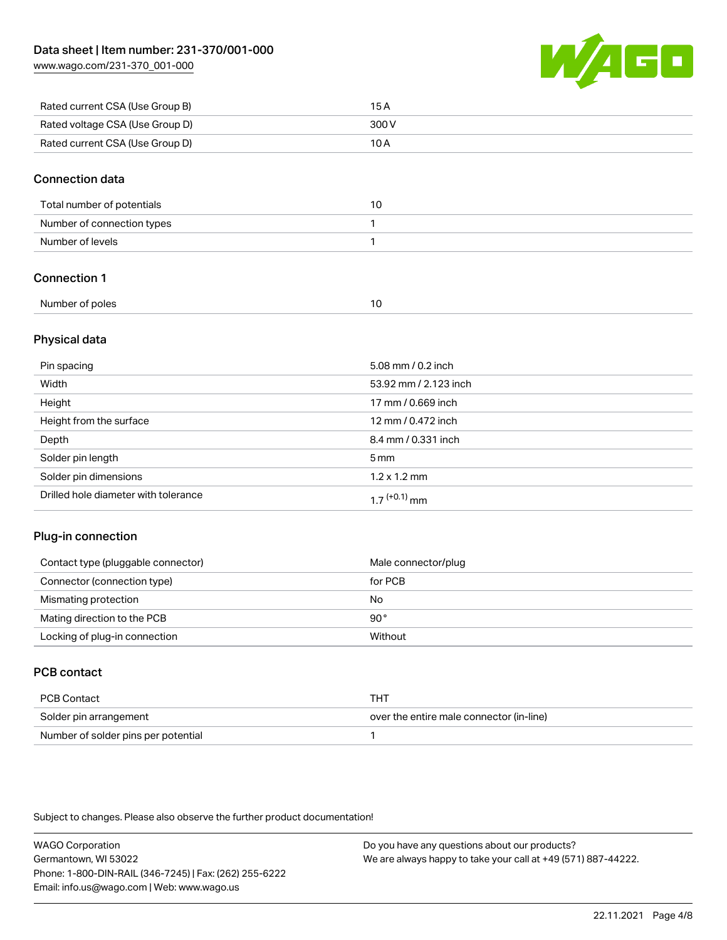[www.wago.com/231-370\\_001-000](http://www.wago.com/231-370_001-000)



| Rated current CSA (Use Group B) | 15 A  |
|---------------------------------|-------|
| Rated voltage CSA (Use Group D) | 300 V |
| Rated current CSA (Use Group D) | 10 A  |

#### Connection data

| Total number of potentials |  |
|----------------------------|--|
| Number of connection types |  |
| Number of levels           |  |

## Connection 1

| Number of poles |  |
|-----------------|--|
|                 |  |

### Physical data

| Pin spacing                          | 5.08 mm / 0.2 inch    |
|--------------------------------------|-----------------------|
| Width                                | 53.92 mm / 2.123 inch |
| Height                               | 17 mm / 0.669 inch    |
| Height from the surface              | 12 mm / 0.472 inch    |
| Depth                                | 8.4 mm / 0.331 inch   |
| Solder pin length                    | $5 \,\mathrm{mm}$     |
| Solder pin dimensions                | $1.2 \times 1.2$ mm   |
| Drilled hole diameter with tolerance | $17^{(+0.1)}$ mm      |

### Plug-in connection

| Contact type (pluggable connector) | Male connector/plug |
|------------------------------------|---------------------|
| Connector (connection type)        | for PCB             |
| Mismating protection               | No                  |
| Mating direction to the PCB        | 90°                 |
| Locking of plug-in connection      | Without             |

## PCB contact

| PCB Contact                         | THT                                      |
|-------------------------------------|------------------------------------------|
| Solder pin arrangement              | over the entire male connector (in-line) |
| Number of solder pins per potential |                                          |

Subject to changes. Please also observe the further product documentation!

WAGO Corporation Germantown, WI 53022 Phone: 1-800-DIN-RAIL (346-7245) | Fax: (262) 255-6222 Email: info.us@wago.com | Web: www.wago.us Do you have any questions about our products?

We are always happy to take your call at +49 (571) 887-44222.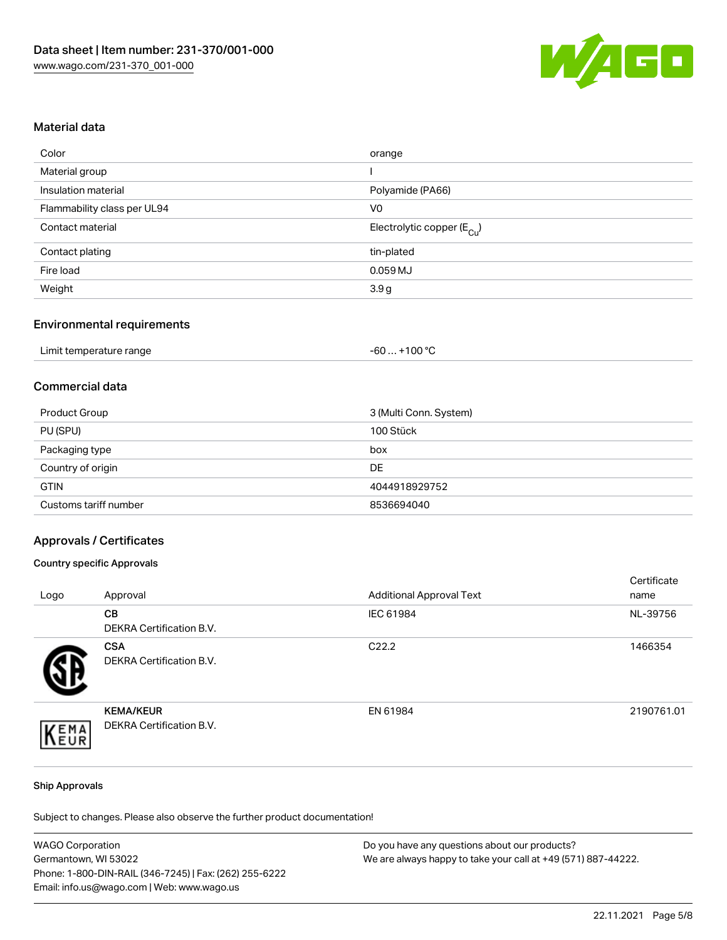

#### Material data

| orange                                 |
|----------------------------------------|
|                                        |
| Polyamide (PA66)                       |
| V <sub>0</sub>                         |
| Electrolytic copper (E <sub>Cu</sub> ) |
| tin-plated                             |
| $0.059$ MJ                             |
| 3.9g                                   |
|                                        |

### Environmental requirements

| Limit temperature range | . +100 °C<br>-60 |
|-------------------------|------------------|
|-------------------------|------------------|

## Commercial data

| Product Group         | 3 (Multi Conn. System) |
|-----------------------|------------------------|
| PU (SPU)              | 100 Stück              |
| Packaging type        | box                    |
| Country of origin     | DE                     |
| <b>GTIN</b>           | 4044918929752          |
| Customs tariff number | 8536694040             |

#### Approvals / Certificates

#### Country specific Approvals

| Logo | Approval                                     | <b>Additional Approval Text</b> | Certificate<br>name |
|------|----------------------------------------------|---------------------------------|---------------------|
|      | CВ<br><b>DEKRA Certification B.V.</b>        | IEC 61984                       | NL-39756            |
|      | <b>CSA</b><br>DEKRA Certification B.V.       | C <sub>22.2</sub>               | 1466354             |
| EMA  | <b>KEMA/KEUR</b><br>DEKRA Certification B.V. | EN 61984                        | 2190761.01          |

#### Ship Approvals

Subject to changes. Please also observe the further product documentation!

| <b>WAGO Corporation</b>                                | Do you have any questions about our products?                 |
|--------------------------------------------------------|---------------------------------------------------------------|
| Germantown, WI 53022                                   | We are always happy to take your call at +49 (571) 887-44222. |
| Phone: 1-800-DIN-RAIL (346-7245)   Fax: (262) 255-6222 |                                                               |
| Email: info.us@wago.com   Web: www.wago.us             |                                                               |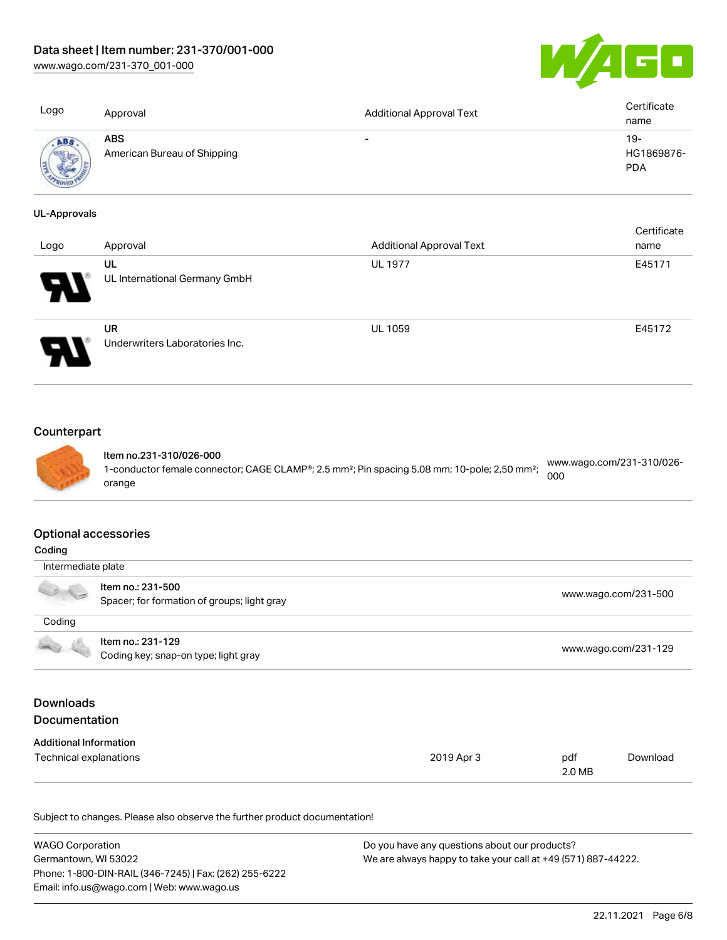[www.wago.com/231-370\\_001-000](http://www.wago.com/231-370_001-000)



| Logo                | Approval                                  | <b>Additional Approval Text</b> | Certificate<br>name               |
|---------------------|-------------------------------------------|---------------------------------|-----------------------------------|
| ABS                 | <b>ABS</b><br>American Bureau of Shipping | $\overline{\phantom{0}}$        | $19-$<br>HG1869876-<br><b>PDA</b> |
| <b>UL-Approvals</b> |                                           |                                 | Certificate                       |
| Logo                | Approval                                  | <b>Additional Approval Text</b> | name                              |
|                     | UL<br>UL International Germany GmbH       | <b>UL 1977</b>                  | E45171                            |



## **Counterpart**



Item no.231-310/026-000 1-conductor female connector; CAGE CLAMP®; 2.5 mm<sup>2</sup>; Pin spacing 5.08 mm; 10-pole; 2,50 mm<sup>2</sup>; orange [www.wago.com/231-310/026-](https://www.wago.com/231-310/026-000) [000](https://www.wago.com/231-310/026-000)

#### Optional accessories

| Coding                                   |                                                                  |            |                      |                      |
|------------------------------------------|------------------------------------------------------------------|------------|----------------------|----------------------|
| Intermediate plate                       |                                                                  |            |                      |                      |
|                                          | Item no.: 231-500<br>Spacer; for formation of groups; light gray |            |                      | www.wago.com/231-500 |
| Coding                                   |                                                                  |            |                      |                      |
|                                          | Item no.: 231-129<br>Coding key; snap-on type; light gray        |            | www.wago.com/231-129 |                      |
| <b>Downloads</b><br><b>Documentation</b> |                                                                  |            |                      |                      |
| <b>Additional Information</b>            |                                                                  |            |                      |                      |
| Technical explanations                   |                                                                  | 2019 Apr 3 | pdf<br>2.0 MB        | Download             |

Subject to changes. Please also observe the further product documentation!

| <b>WAGO Corporation</b>                                | Do you have any questions about our products?                 |
|--------------------------------------------------------|---------------------------------------------------------------|
| Germantown, WI 53022                                   | We are always happy to take your call at +49 (571) 887-44222. |
| Phone: 1-800-DIN-RAIL (346-7245)   Fax: (262) 255-6222 |                                                               |
| Email: info.us@wago.com   Web: www.wago.us             |                                                               |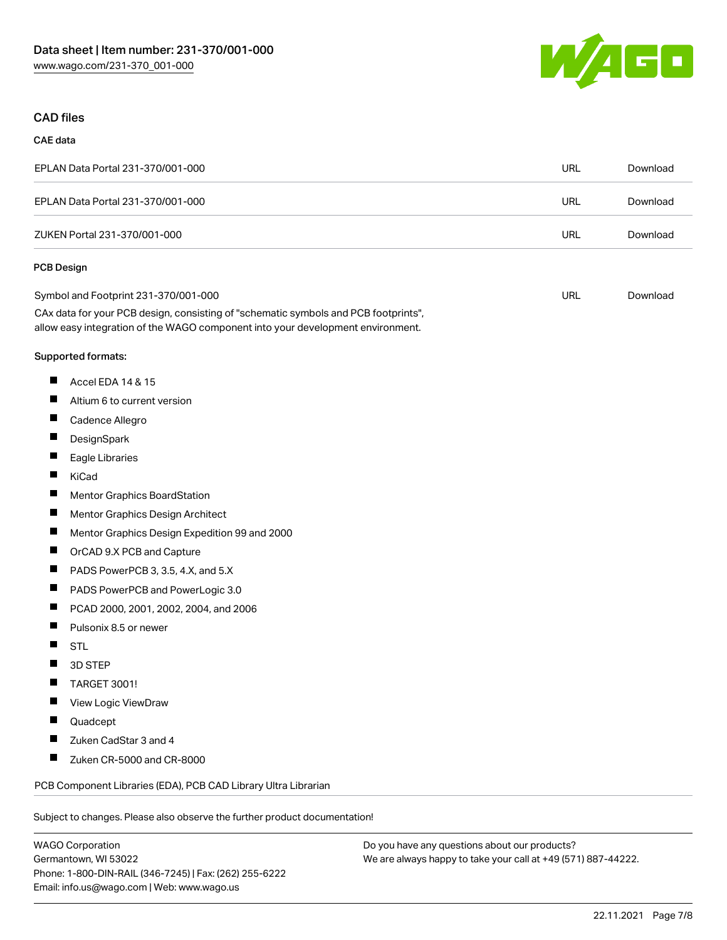

### CAD files

#### CAE data

| EPLAN Data Portal 231-370/001-000 | URL | Download |
|-----------------------------------|-----|----------|
| EPLAN Data Portal 231-370/001-000 | URL | Download |
| ZUKEN Portal 231-370/001-000      | URL | Download |
| -----                             |     |          |

#### PCB Design

| Symbol and Footprint 231-370/001-000                                                | URL | Download |
|-------------------------------------------------------------------------------------|-----|----------|
| CAx data for your PCB design, consisting of "schematic symbols and PCB footprints", |     |          |
| allow easy integration of the WAGO component into your development environment.     |     |          |

#### Supported formats:

- $\blacksquare$ Accel EDA 14 & 15
- $\blacksquare$ Altium 6 to current version
- $\blacksquare$ Cadence Allegro
- $\blacksquare$ **DesignSpark**
- $\blacksquare$ Eagle Libraries
- $\blacksquare$ KiCad
- $\blacksquare$ Mentor Graphics BoardStation
- $\blacksquare$ Mentor Graphics Design Architect
- $\blacksquare$ Mentor Graphics Design Expedition 99 and 2000
- $\blacksquare$ OrCAD 9.X PCB and Capture
- $\blacksquare$ PADS PowerPCB 3, 3.5, 4.X, and 5.X
- $\blacksquare$ PADS PowerPCB and PowerLogic 3.0
- $\blacksquare$ PCAD 2000, 2001, 2002, 2004, and 2006
- $\blacksquare$ Pulsonix 8.5 or newer
- $\blacksquare$ STL
- $\blacksquare$ 3D STEP
- $\blacksquare$ TARGET 3001!
- $\blacksquare$ View Logic ViewDraw
- $\blacksquare$ Quadcept
- П Zuken CadStar 3 and 4
- $\blacksquare$ Zuken CR-5000 and CR-8000

PCB Component Libraries (EDA), PCB CAD Library Ultra Librarian

Subject to changes. Please also observe the further product documentation!